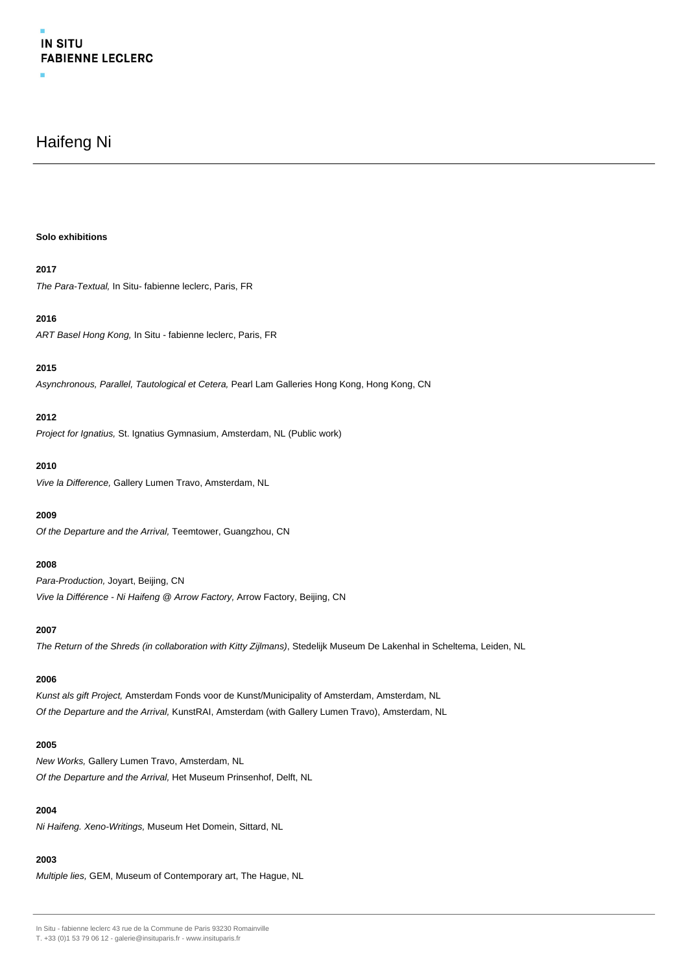# **IN SITU FABIENNE LECLERC**

## Haifeng Ni

#### **Solo exhibitions**

## **2017**

The Para-Textual, In Situ- fabienne leclerc, Paris, FR

#### **2016**

ART Basel Hong Kong, In Situ - fabienne leclerc, Paris, FR

## **2015**

Asynchronous, Parallel, Tautological et Cetera, Pearl Lam Galleries Hong Kong, Hong Kong, CN

## **2012**

Project for Ignatius, St. Ignatius Gymnasium, Amsterdam, NL (Public work)

### **2010**

Vive la Difference, Gallery Lumen Travo, Amsterdam, NL

#### **2009**

Of the Departure and the Arrival, Teemtower, Guangzhou, CN

## **2008**

Para-Production, Jovart, Beijing, CN Vive la Différence - Ni Haifeng @ Arrow Factory, Arrow Factory, Beijing, CN

## **2007**

The Return of the Shreds (in collaboration with Kitty Zijlmans), Stedelijk Museum De Lakenhal in Scheltema, Leiden, NL

## **2006**

Kunst als gift Project, Amsterdam Fonds voor de Kunst/Municipality of Amsterdam, Amsterdam, NL Of the Departure and the Arrival, KunstRAI, Amsterdam (with Gallery Lumen Travo), Amsterdam, NL

#### **2005**

New Works, Gallery Lumen Travo, Amsterdam, NL Of the Departure and the Arrival, Het Museum Prinsenhof, Delft, NL

## **2004**

Ni Haifeng. Xeno-Writings, Museum Het Domein, Sittard, NL

## **2003**

Multiple lies, GEM, Museum of Contemporary art, The Hague, NL

In Situ - fabienne leclerc 43 rue de la Commune de Paris 93230 Romainville

T. +33 (0)1 53 79 06 12 - galerie@insituparis.fr - www.insituparis.fr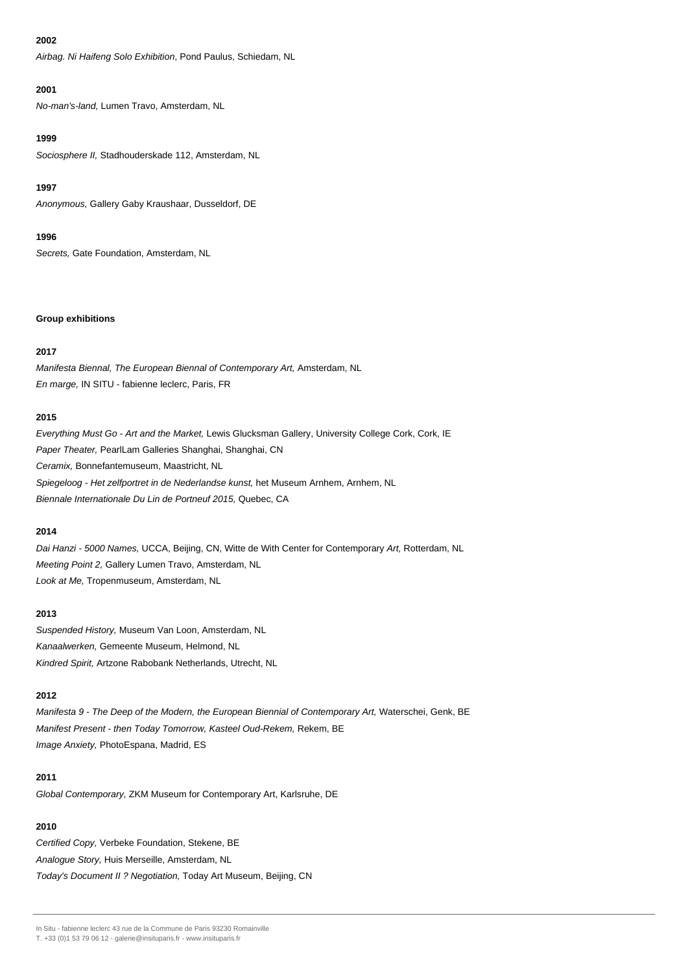#### **2002**

Airbag. Ni Haifeng Solo Exhibition, Pond Paulus, Schiedam, NL

## **2001**

No-man's-land, Lumen Travo, Amsterdam, NL

#### **1999**

Sociosphere II, Stadhouderskade 112, Amsterdam, NL

## **1997**

Anonymous, Gallery Gaby Kraushaar, Dusseldorf, DE

## **1996**

Secrets, Gate Foundation, Amsterdam, NL

#### **Group exhibitions**

## **2017**

Manifesta Biennal, The European Biennal of Contemporary Art, Amsterdam, NL En marge, IN SITU - fabienne leclerc, Paris, FR

## **2015**

Everything Must Go - Art and the Market, Lewis Glucksman Gallery, University College Cork, Cork, IE Paper Theater, PearlLam Galleries Shanghai, Shanghai, CN Ceramix, Bonnefantemuseum, Maastricht, NL Spiegeloog - Het zelfportret in de Nederlandse kunst, het Museum Arnhem, Arnhem, NL Biennale Internationale Du Lin de Portneuf 2015, Quebec, CA

## **2014**

Dai Hanzi - 5000 Names, UCCA, Beijing, CN, Witte de With Center for Contemporary Art, Rotterdam, NL Meeting Point 2, Gallery Lumen Travo, Amsterdam, NL Look at Me, Tropenmuseum, Amsterdam, NL

## **2013**

Suspended History, Museum Van Loon, Amsterdam, NL Kanaalwerken, Gemeente Museum, Helmond, NL Kindred Spirit, Artzone Rabobank Netherlands, Utrecht, NL

## **2012**

Manifesta 9 - The Deep of the Modern, the European Biennial of Contemporary Art, Waterschei, Genk, BE Manifest Present - then Today Tomorrow, Kasteel Oud-Rekem, Rekem, BE Image Anxiety, PhotoEspana, Madrid, ES

## **2011**

Global Contemporary, ZKM Museum for Contemporary Art, Karlsruhe, DE

## **2010**

Certified Copy, Verbeke Foundation, Stekene, BE Analogue Story, Huis Merseille, Amsterdam, NL Today's Document II ? Negotiation, Today Art Museum, Beijing, CN

T. +33 (0)1 53 79 06 12 - galerie@insituparis.fr - www.insituparis.fr

In Situ - fabienne leclerc 43 rue de la Commune de Paris 93230 Romainville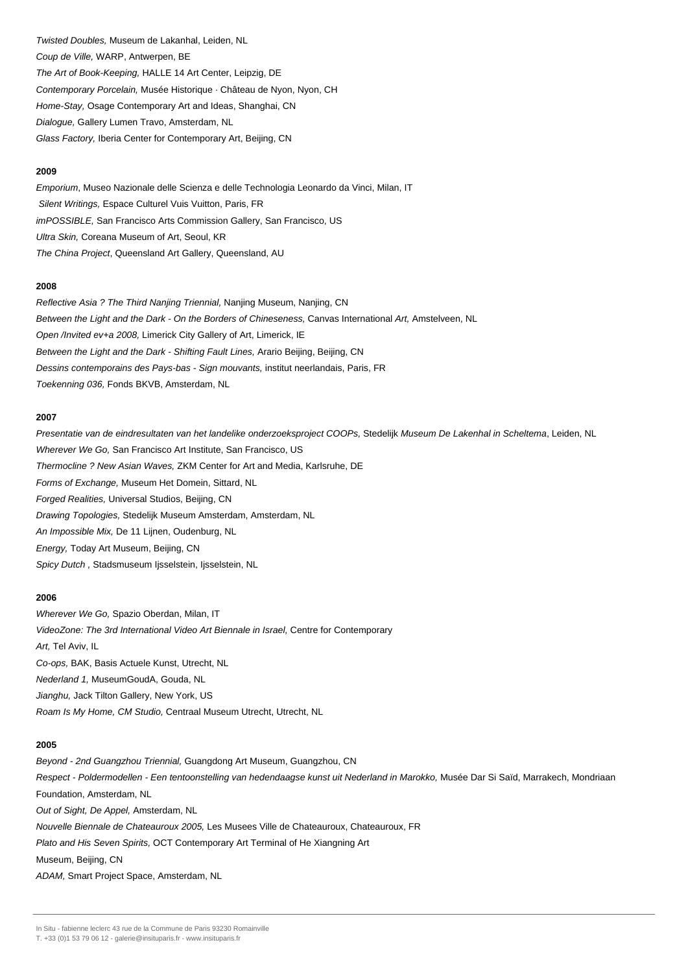Twisted Doubles, Museum de Lakanhal, Leiden, NL Coup de Ville, WARP, Antwerpen, BE The Art of Book-Keeping, HALLE 14 Art Center, Leipzig, DE Contemporary Porcelain, Musée Historique · Château de Nyon, Nyon, CH Home-Stay, Osage Contemporary Art and Ideas, Shanghai, CN Dialogue, Gallery Lumen Travo, Amsterdam, NL Glass Factory, Iberia Center for Contemporary Art, Beijing, CN

#### **2009**

Emporium, Museo Nazionale delle Scienza e delle Technologia Leonardo da Vinci, Milan, IT Silent Writings, Espace Culturel Vuis Vuitton, Paris, FR imPOSSIBLE, San Francisco Arts Commission Gallery, San Francisco, US Ultra Skin, Coreana Museum of Art, Seoul, KR The China Project, Queensland Art Gallery, Queensland, AU

#### **2008**

Reflective Asia ? The Third Nanjing Triennial, Nanjing Museum, Nanjing, CN Between the Light and the Dark - On the Borders of Chineseness, Canvas International Art, Amstelveen, NL Open /Invited ev+a 2008, Limerick City Gallery of Art, Limerick, IE Between the Light and the Dark - Shifting Fault Lines, Arario Beijing, Beijing, CN Dessins contemporains des Pays-bas - Sign mouvants, institut neerlandais, Paris, FR Toekenning 036, Fonds BKVB, Amsterdam, NL

#### **2007**

Presentatie van de eindresultaten van het landelike onderzoeksproject COOPs, Stedelijk Museum De Lakenhal in Scheltema, Leiden, NL Wherever We Go, San Francisco Art Institute, San Francisco, US Thermocline ? New Asian Waves, ZKM Center for Art and Media, Karlsruhe, DE Forms of Exchange, Museum Het Domein, Sittard, NL Forged Realities, Universal Studios, Beijing, CN Drawing Topologies, Stedelijk Museum Amsterdam, Amsterdam, NL An Impossible Mix, De 11 Lijnen, Oudenburg, NL Energy, Today Art Museum, Beijing, CN Spicy Dutch, Stadsmuseum Ijsselstein, Ijsselstein, NL

#### **2006**

Wherever We Go, Spazio Oberdan, Milan, IT VideoZone: The 3rd International Video Art Biennale in Israel, Centre for Contemporary Art, Tel Aviv, IL Co-ops, BAK, Basis Actuele Kunst, Utrecht, NL Nederland 1, MuseumGoudA, Gouda, NL Jianghu, Jack Tilton Gallery, New York, US Roam Is My Home, CM Studio, Centraal Museum Utrecht, Utrecht, NL

#### **2005**

Beyond - 2nd Guangzhou Triennial, Guangdong Art Museum, Guangzhou, CN Respect - Poldermodellen - Een tentoonstelling van hedendaagse kunst uit Nederland in Marokko, Musée Dar Si Saïd, Marrakech, Mondriaan Foundation, Amsterdam, NL Out of Sight, De Appel, Amsterdam, NL Nouvelle Biennale de Chateauroux 2005, Les Musees Ville de Chateauroux, Chateauroux, FR Plato and His Seven Spirits, OCT Contemporary Art Terminal of He Xiangning Art Museum, Beijing, CN ADAM, Smart Project Space, Amsterdam, NL

In Situ - fabienne leclerc 43 rue de la Commune de Paris 93230 Romainville

T. +33 (0)1 53 79 06 12 - galerie@insituparis.fr - www.insituparis.fr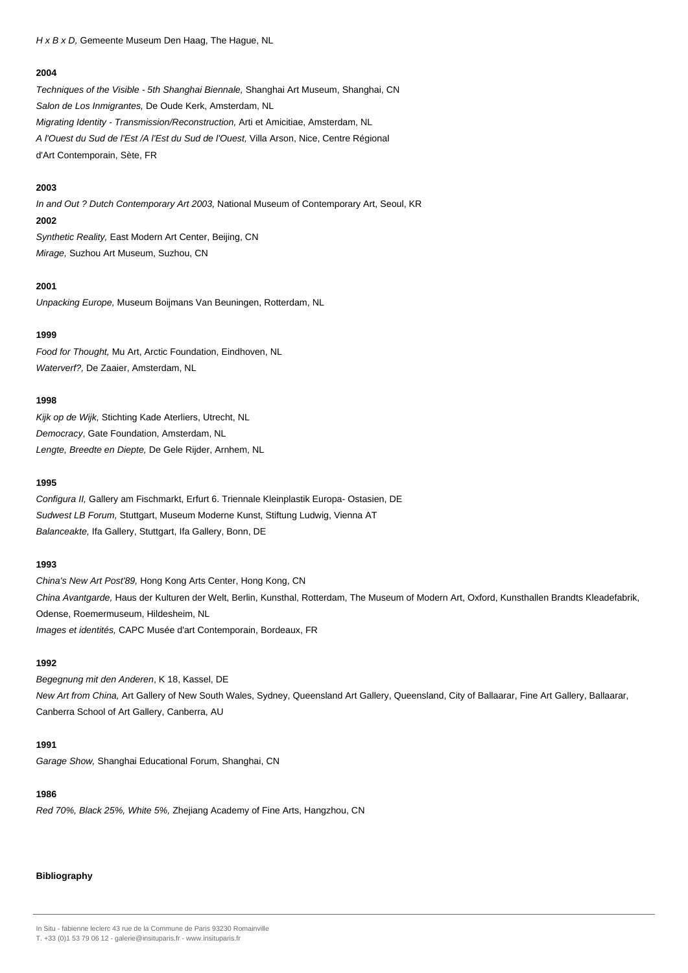H x B x D, Gemeente Museum Den Haag, The Hague, NL

#### **2004**

Techniques of the Visible - 5th Shanghai Biennale, Shanghai Art Museum, Shanghai, CN Salon de Los Inmigrantes, De Oude Kerk, Amsterdam, NL Migrating Identity - Transmission/Reconstruction, Arti et Amicitiae, Amsterdam, NL A l'Ouest du Sud de l'Est /A l'Est du Sud de l'Ouest, Villa Arson, Nice, Centre Régional d'Art Contemporain, Sète, FR

#### **2003**

In and Out ? Dutch Contemporary Art 2003, National Museum of Contemporary Art, Seoul, KR **2002** Synthetic Reality, East Modern Art Center, Beijing, CN

Mirage, Suzhou Art Museum, Suzhou, CN

#### **2001**

Unpacking Europe, Museum Boijmans Van Beuningen, Rotterdam, NL

## **1999**

Food for Thought, Mu Art, Arctic Foundation, Eindhoven, NL Waterverf?, De Zaaier, Amsterdam, NL

## **1998**

Kijk op de Wijk, Stichting Kade Aterliers, Utrecht, NL Democracy, Gate Foundation, Amsterdam, NL Lengte, Breedte en Diepte, De Gele Rijder, Arnhem, NL

#### **1995**

Configura II, Gallery am Fischmarkt, Erfurt 6. Triennale Kleinplastik Europa- Ostasien, DE Sudwest LB Forum, Stuttgart, Museum Moderne Kunst, Stiftung Ludwig, Vienna AT Balanceakte, Ifa Gallery, Stuttgart, Ifa Gallery, Bonn, DE

## **1993**

China's New Art Post'89, Hong Kong Arts Center, Hong Kong, CN China Avantgarde, Haus der Kulturen der Welt, Berlin, Kunsthal, Rotterdam, The Museum of Modern Art, Oxford, Kunsthallen Brandts Kleadefabrik, Odense, Roemermuseum, Hildesheim, NL Images et identités, CAPC Musée d'art Contemporain, Bordeaux, FR

## **1992**

Begegnung mit den Anderen, K 18, Kassel, DE New Art from China, Art Gallery of New South Wales, Sydney, Queensland Art Gallery, Queensland, City of Ballaarar, Fine Art Gallery, Ballaarar, Canberra School of Art Gallery, Canberra, AU

#### **1991**

Garage Show, Shanghai Educational Forum, Shanghai, CN

## **1986**

Red 70%, Black 25%, White 5%, Zhejiang Academy of Fine Arts, Hangzhou, CN

#### **Bibliography**

T. +33 (0)1 53 79 06 12 - galerie@insituparis.fr - www.insituparis.fr

In Situ - fabienne leclerc 43 rue de la Commune de Paris 93230 Romainville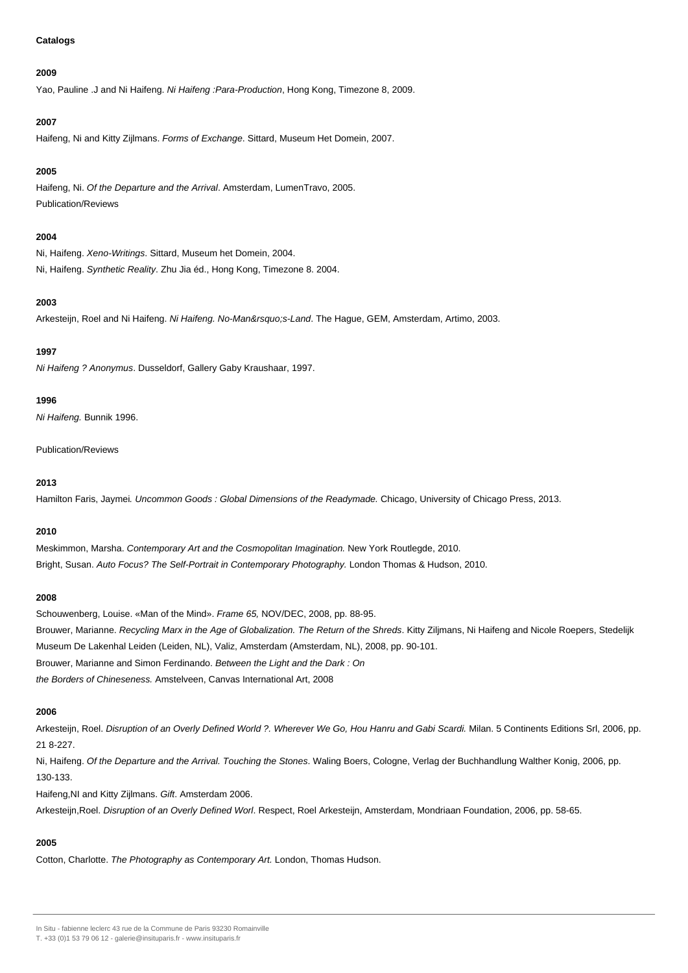#### **Catalogs**

#### **2009**

Yao, Pauline .J and Ni Haifeng. Ni Haifeng : Para-Production, Hong Kong, Timezone 8, 2009.

#### **2007**

Haifeng, Ni and Kitty Zijlmans. Forms of Exchange. Sittard, Museum Het Domein, 2007.

#### **2005**

Haifeng, Ni. Of the Departure and the Arrival. Amsterdam, LumenTravo, 2005. Publication/Reviews

#### **2004**

Ni, Haifeng. Xeno-Writings. Sittard, Museum het Domein, 2004. Ni, Haifeng. Synthetic Reality. Zhu Jia éd., Hong Kong, Timezone 8. 2004.

#### **2003**

Arkesteijn, Roel and Ni Haifeng. Ni Haifeng. No-Man's-Land. The Hague, GEM, Amsterdam, Artimo, 2003.

## **1997**

Ni Haifeng ? Anonymus. Dusseldorf, Gallery Gaby Kraushaar, 1997.

#### **1996**

Ni Haifeng. Bunnik 1996.

Publication/Reviews

#### **2013**

Hamilton Faris, Jaymei. Uncommon Goods : Global Dimensions of the Readymade. Chicago, University of Chicago Press, 2013.

## **2010**

Meskimmon, Marsha. Contemporary Art and the Cosmopolitan Imagination. New York Routlegde, 2010. Bright, Susan. Auto Focus? The Self-Portrait in Contemporary Photography. London Thomas & Hudson, 2010.

#### **2008**

Schouwenberg, Louise. «Man of the Mind». Frame 65, NOV/DEC, 2008, pp. 88-95. Brouwer, Marianne. Recycling Marx in the Age of Globalization. The Return of the Shreds. Kitty Ziljmans, Ni Haifeng and Nicole Roepers, Stedelijk Museum De Lakenhal Leiden (Leiden, NL), Valiz, Amsterdam (Amsterdam, NL), 2008, pp. 90-101. Brouwer, Marianne and Simon Ferdinando. Between the Light and the Dark : On the Borders of Chineseness. Amstelveen, Canvas International Art, 2008

## **2006**

Arkesteijn, Roel. Disruption of an Overly Defined World ?. Wherever We Go, Hou Hanru and Gabi Scardi. Milan. 5 Continents Editions Srl, 2006, pp. 21 8-227.

Ni, Haifeng. Of the Departure and the Arrival. Touching the Stones. Waling Boers, Cologne, Verlag der Buchhandlung Walther Konig, 2006, pp. 130-133.

Haifeng,NI and Kitty Zijlmans. Gift. Amsterdam 2006.

Arkesteijn,Roel. Disruption of an Overly Defined Worl. Respect, Roel Arkesteijn, Amsterdam, Mondriaan Foundation, 2006, pp. 58-65.

## **2005**

Cotton, Charlotte. The Photography as Contemporary Art. London, Thomas Hudson.

In Situ - fabienne leclerc 43 rue de la Commune de Paris 93230 Romainville

T. +33 (0)1 53 79 06 12 - galerie@insituparis.fr - www.insituparis.fr